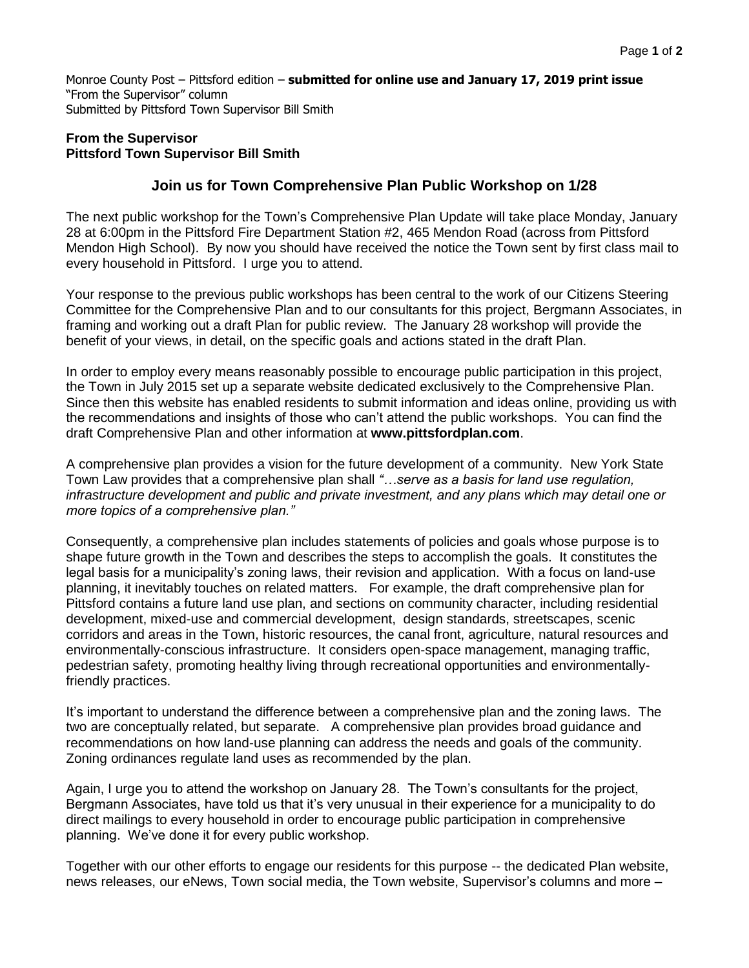Monroe County Post – Pittsford edition – **submitted for online use and January 17, 2019 print issue** "From the Supervisor" column Submitted by Pittsford Town Supervisor Bill Smith

## **From the Supervisor Pittsford Town Supervisor Bill Smith**

## **Join us for Town Comprehensive Plan Public Workshop on 1/28**

The next public workshop for the Town's Comprehensive Plan Update will take place Monday, January 28 at 6:00pm in the Pittsford Fire Department Station #2, 465 Mendon Road (across from Pittsford Mendon High School). By now you should have received the notice the Town sent by first class mail to every household in Pittsford. I urge you to attend.

Your response to the previous public workshops has been central to the work of our Citizens Steering Committee for the Comprehensive Plan and to our consultants for this project, Bergmann Associates, in framing and working out a draft Plan for public review. The January 28 workshop will provide the benefit of your views, in detail, on the specific goals and actions stated in the draft Plan.

In order to employ every means reasonably possible to encourage public participation in this project, the Town in July 2015 set up a separate website dedicated exclusively to the Comprehensive Plan. Since then this website has enabled residents to submit information and ideas online, providing us with the recommendations and insights of those who can't attend the public workshops. You can find the draft Comprehensive Plan and other information at **www.pittsfordplan.com**.

A comprehensive plan provides a vision for the future development of a community. New York State Town Law provides that a comprehensive plan shall *"…serve as a basis for land use regulation, infrastructure development and public and private investment, and any plans which may detail one or more topics of a comprehensive plan."*

Consequently, a comprehensive plan includes statements of policies and goals whose purpose is to shape future growth in the Town and describes the steps to accomplish the goals. It constitutes the legal basis for a municipality's zoning laws, their revision and application. With a focus on land-use planning, it inevitably touches on related matters. For example, the draft comprehensive plan for Pittsford contains a future land use plan, and sections on community character, including residential development, mixed-use and commercial development, design standards, streetscapes, scenic corridors and areas in the Town, historic resources, the canal front, agriculture, natural resources and environmentally-conscious infrastructure. It considers open-space management, managing traffic, pedestrian safety, promoting healthy living through recreational opportunities and environmentallyfriendly practices.

It's important to understand the difference between a comprehensive plan and the zoning laws. The two are conceptually related, but separate. A comprehensive plan provides broad guidance and recommendations on how land-use planning can address the needs and goals of the community. Zoning ordinances regulate land uses as recommended by the plan.

Again, I urge you to attend the workshop on January 28. The Town's consultants for the project, Bergmann Associates, have told us that it's very unusual in their experience for a municipality to do direct mailings to every household in order to encourage public participation in comprehensive planning. We've done it for every public workshop.

Together with our other efforts to engage our residents for this purpose -- the dedicated Plan website, news releases, our eNews, Town social media, the Town website, Supervisor's columns and more –